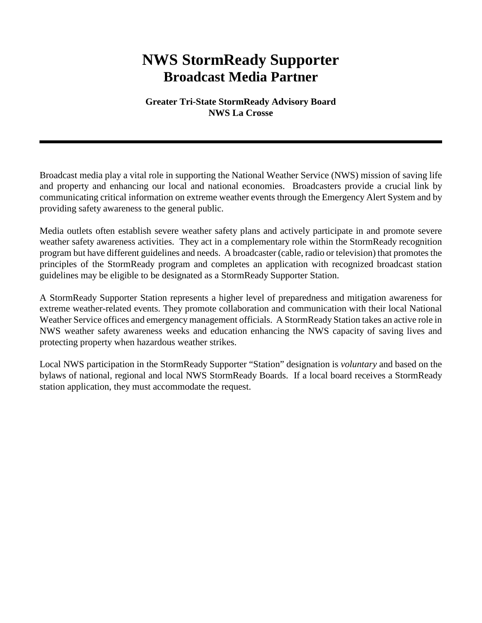## **NWS StormReady Supporter Broadcast Media Partner**

**Greater Tri-State StormReady Advisory Board NWS La Crosse**

Broadcast media play a vital role in supporting the National Weather Service (NWS) mission of saving life and property and enhancing our local and national economies. Broadcasters provide a crucial link by communicating critical information on extreme weather events through the Emergency Alert System and by providing safety awareness to the general public.

Media outlets often establish severe weather safety plans and actively participate in and promote severe weather safety awareness activities. They act in a complementary role within the StormReady recognition program but have different guidelines and needs. A broadcaster (cable, radio or television) that promotes the principles of the StormReady program and completes an application with recognized broadcast station guidelines may be eligible to be designated as a StormReady Supporter Station.

A StormReady Supporter Station represents a higher level of preparedness and mitigation awareness for extreme weather-related events. They promote collaboration and communication with their local National Weather Service offices and emergency management officials. A StormReady Station takes an active role in NWS weather safety awareness weeks and education enhancing the NWS capacity of saving lives and protecting property when hazardous weather strikes.

Local NWS participation in the StormReady Supporter "Station" designation is *voluntary* and based on the bylaws of national, regional and local NWS StormReady Boards. If a local board receives a StormReady station application, they must accommodate the request.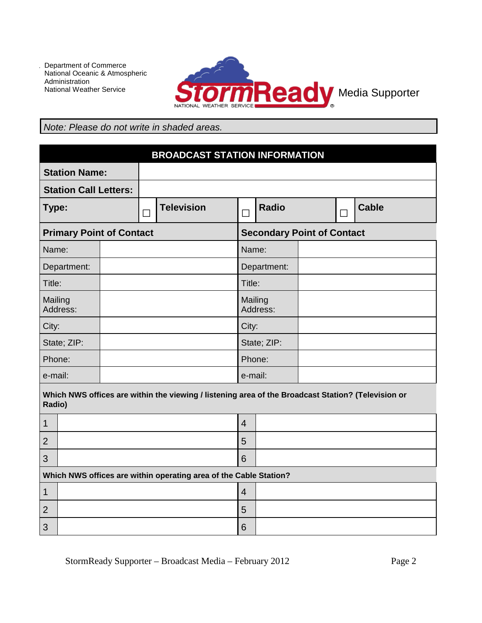

## *Note: Please do not write in shaded areas.*

| <b>BROADCAST STATION INFORMATION</b> |  |        |                   |                     |                                   |  |   |              |
|--------------------------------------|--|--------|-------------------|---------------------|-----------------------------------|--|---|--------------|
| <b>Station Name:</b>                 |  |        |                   |                     |                                   |  |   |              |
| <b>Station Call Letters:</b>         |  |        |                   |                     |                                   |  |   |              |
| Type:                                |  | $\Box$ | <b>Television</b> | П                   | <b>Radio</b>                      |  | Г | <b>Cable</b> |
| <b>Primary Point of Contact</b>      |  |        |                   |                     | <b>Secondary Point of Contact</b> |  |   |              |
| Name:                                |  |        |                   | Name:               |                                   |  |   |              |
| Department:                          |  |        |                   | Department:         |                                   |  |   |              |
| Title:                               |  |        |                   | Title:              |                                   |  |   |              |
| Mailing<br>Address:                  |  |        |                   | Mailing<br>Address: |                                   |  |   |              |
| City:                                |  |        |                   | City:               |                                   |  |   |              |
| State; ZIP:                          |  |        |                   | State; ZIP:         |                                   |  |   |              |
| Phone:                               |  |        |                   | Phone:              |                                   |  |   |              |
| e-mail:                              |  |        |                   | e-mail:             |                                   |  |   |              |

**Which NWS offices are within the viewing / listening area of the Broadcast Station? (Television or Radio)**

## **Which NWS offices are within operating area of the Cable Station?**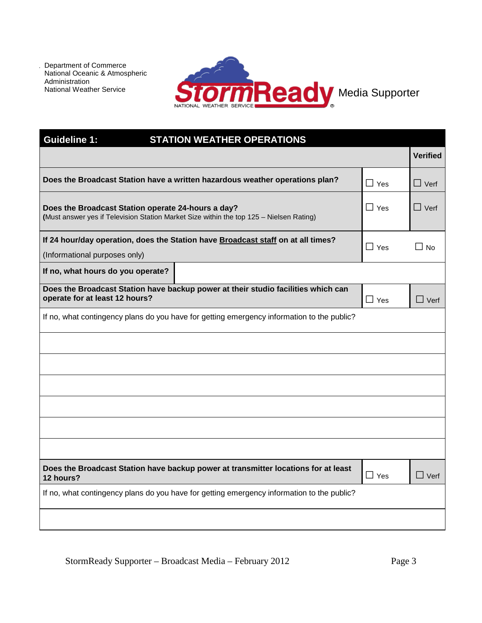

| <b>Guideline 1:</b><br><b>STATION WEATHER OPERATIONS</b>                                                                                      |            |                 |
|-----------------------------------------------------------------------------------------------------------------------------------------------|------------|-----------------|
|                                                                                                                                               |            | <b>Verified</b> |
| Does the Broadcast Station have a written hazardous weather operations plan?                                                                  | $\Box$ Yes | $\Box$ Verf     |
| Does the Broadcast Station operate 24-hours a day?<br>(Must answer yes if Television Station Market Size within the top 125 - Nielsen Rating) | $\Box$ Yes | $\Box$ Verf     |
| If 24 hour/day operation, does the Station have Broadcast staff on at all times?<br>(Informational purposes only)                             | $\Box$ Yes | $\Box$ No       |
| If no, what hours do you operate?                                                                                                             |            |                 |
| Does the Broadcast Station have backup power at their studio facilities which can<br>operate for at least 12 hours?                           | $\Box$ Yes | $\Box$ Verf     |
| If no, what contingency plans do you have for getting emergency information to the public?                                                    |            |                 |
|                                                                                                                                               |            |                 |
|                                                                                                                                               |            |                 |
|                                                                                                                                               |            |                 |
|                                                                                                                                               |            |                 |
|                                                                                                                                               |            |                 |
|                                                                                                                                               |            |                 |
| Does the Broadcast Station have backup power at transmitter locations for at least<br>12 hours?                                               | $\Box$ Yes | $\Box$ Verf     |
| If no, what contingency plans do you have for getting emergency information to the public?                                                    |            |                 |
|                                                                                                                                               |            |                 |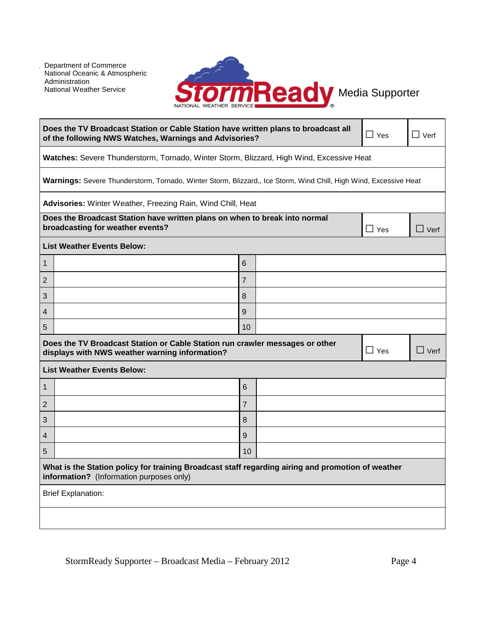

| Does the TV Broadcast Station or Cable Station have written plans to broadcast all<br>$\Box$ Yes<br>of the following NWS Watches, Warnings and Advisories? |                                                                                                                   |  | $\Box$ Verf |             |  |
|------------------------------------------------------------------------------------------------------------------------------------------------------------|-------------------------------------------------------------------------------------------------------------------|--|-------------|-------------|--|
| Watches: Severe Thunderstorm, Tornado, Winter Storm, Blizzard, High Wind, Excessive Heat                                                                   |                                                                                                                   |  |             |             |  |
|                                                                                                                                                            | Warnings: Severe Thunderstorm, Tornado, Winter Storm, Blizzard,, Ice Storm, Wind Chill, High Wind, Excessive Heat |  |             |             |  |
| Advisories: Winter Weather, Freezing Rain, Wind Chill, Heat                                                                                                |                                                                                                                   |  |             |             |  |
| Does the Broadcast Station have written plans on when to break into normal<br>broadcasting for weather events?                                             |                                                                                                                   |  | $\Box$ Yes  | $\Box$ Verf |  |
| <b>List Weather Events Below:</b>                                                                                                                          |                                                                                                                   |  |             |             |  |
| $\mathbf{1}$                                                                                                                                               | 6                                                                                                                 |  |             |             |  |
| 2                                                                                                                                                          | $\overline{7}$                                                                                                    |  |             |             |  |
| 3                                                                                                                                                          | 8                                                                                                                 |  |             |             |  |
| $\overline{4}$                                                                                                                                             | 9                                                                                                                 |  |             |             |  |
| 5                                                                                                                                                          | 10                                                                                                                |  |             |             |  |
| Does the TV Broadcast Station or Cable Station run crawler messages or other<br>$\Box$ Yes<br>displays with NWS weather warning information?               |                                                                                                                   |  |             | $\Box$ Verf |  |
| <b>List Weather Events Below:</b>                                                                                                                          |                                                                                                                   |  |             |             |  |
| 1                                                                                                                                                          | 6                                                                                                                 |  |             |             |  |
| 2                                                                                                                                                          | $\overline{7}$                                                                                                    |  |             |             |  |
| 3                                                                                                                                                          | 8                                                                                                                 |  |             |             |  |
| $\overline{4}$                                                                                                                                             | 9                                                                                                                 |  |             |             |  |
| 5                                                                                                                                                          | 10                                                                                                                |  |             |             |  |
| What is the Station policy for training Broadcast staff regarding airing and promotion of weather<br>information? (Information purposes only)              |                                                                                                                   |  |             |             |  |
| <b>Brief Explanation:</b>                                                                                                                                  |                                                                                                                   |  |             |             |  |
|                                                                                                                                                            |                                                                                                                   |  |             |             |  |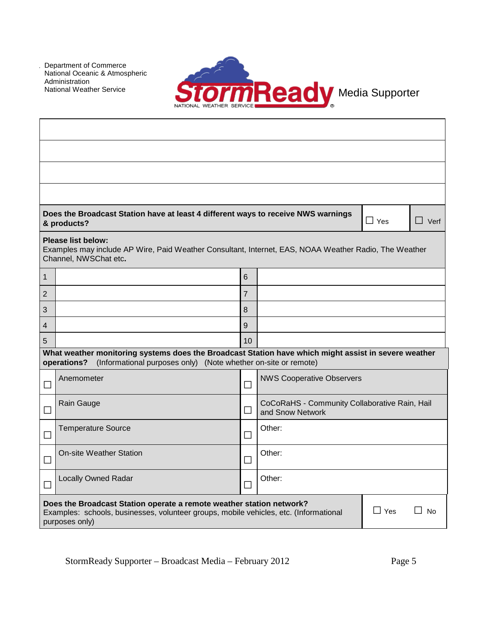

|              | Does the Broadcast Station have at least 4 different ways to receive NWS warnings<br>& products?                                                                                                           |                |                                                                   | $\Box$ Yes | $\Box$ Verf |  |  |  |
|--------------|------------------------------------------------------------------------------------------------------------------------------------------------------------------------------------------------------------|----------------|-------------------------------------------------------------------|------------|-------------|--|--|--|
|              | <b>Please list below:</b><br>Examples may include AP Wire, Paid Weather Consultant, Internet, EAS, NOAA Weather Radio, The Weather<br>Channel, NWSChat etc.                                                |                |                                                                   |            |             |  |  |  |
| $\mathbf{1}$ |                                                                                                                                                                                                            | 6              |                                                                   |            |             |  |  |  |
| 2            |                                                                                                                                                                                                            | $\overline{7}$ |                                                                   |            |             |  |  |  |
| 3            |                                                                                                                                                                                                            | 8              |                                                                   |            |             |  |  |  |
| 4            |                                                                                                                                                                                                            | 9              |                                                                   |            |             |  |  |  |
| 5            | What weather monitoring systems does the Broadcast Station have which might assist in severe weather                                                                                                       | 10             |                                                                   |            |             |  |  |  |
|              | (Informational purposes only) (Note whether on-site or remote)<br>operations?                                                                                                                              |                |                                                                   |            |             |  |  |  |
|              | Anemometer                                                                                                                                                                                                 | $\Box$         | <b>NWS Cooperative Observers</b>                                  |            |             |  |  |  |
|              | Rain Gauge                                                                                                                                                                                                 | $\Box$         | CoCoRaHS - Community Collaborative Rain, Hail<br>and Snow Network |            |             |  |  |  |
|              | <b>Temperature Source</b>                                                                                                                                                                                  | П              | Other:                                                            |            |             |  |  |  |
|              | <b>On-site Weather Station</b>                                                                                                                                                                             | П              | Other:                                                            |            |             |  |  |  |
|              | <b>Locally Owned Radar</b>                                                                                                                                                                                 | Other:<br>П    |                                                                   |            |             |  |  |  |
|              | Does the Broadcast Station operate a remote weather station network?<br>$\Box$ Yes<br><b>No</b><br>Examples: schools, businesses, volunteer groups, mobile vehicles, etc. (Informational<br>purposes only) |                |                                                                   |            |             |  |  |  |

StormReady Supporter – Broadcast Media – February 2012 Page 5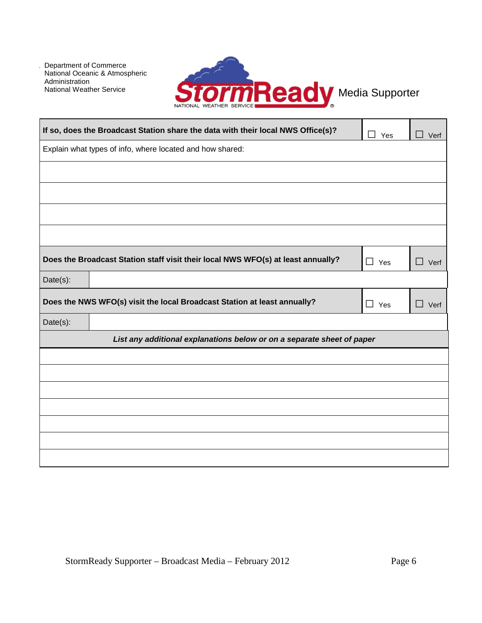

| If so, does the Broadcast Station share the data with their local NWS Office(s)?                              | Yes        | Verf        |  |  |  |
|---------------------------------------------------------------------------------------------------------------|------------|-------------|--|--|--|
| Explain what types of info, where located and how shared:                                                     |            |             |  |  |  |
|                                                                                                               |            |             |  |  |  |
|                                                                                                               |            |             |  |  |  |
|                                                                                                               |            |             |  |  |  |
|                                                                                                               |            |             |  |  |  |
| Does the Broadcast Station staff visit their local NWS WFO(s) at least annually?<br>$\Box$ Yes<br>$\Box$ Verf |            |             |  |  |  |
| Date(s):                                                                                                      |            |             |  |  |  |
| Does the NWS WFO(s) visit the local Broadcast Station at least annually?                                      | $\Box$ Yes | $\Box$ Verf |  |  |  |
| Date(s):                                                                                                      |            |             |  |  |  |
| List any additional explanations below or on a separate sheet of paper                                        |            |             |  |  |  |
|                                                                                                               |            |             |  |  |  |
|                                                                                                               |            |             |  |  |  |
|                                                                                                               |            |             |  |  |  |
|                                                                                                               |            |             |  |  |  |
|                                                                                                               |            |             |  |  |  |
|                                                                                                               |            |             |  |  |  |
|                                                                                                               |            |             |  |  |  |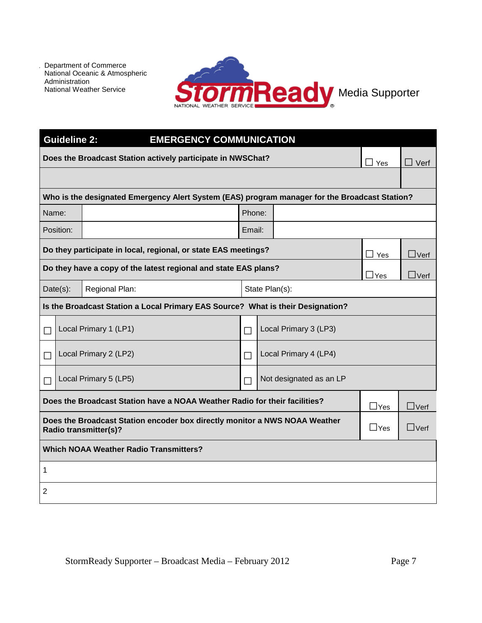

|                 | <b>Guideline 2:</b><br><b>EMERGENCY COMMUNICATION</b> |                                                                                                            |        |                         |            |                |
|-----------------|-------------------------------------------------------|------------------------------------------------------------------------------------------------------------|--------|-------------------------|------------|----------------|
|                 |                                                       | Does the Broadcast Station actively participate in NWSChat?                                                |        |                         | Yes        | $\square$ Verf |
|                 |                                                       |                                                                                                            |        |                         |            |                |
|                 |                                                       | Who is the designated Emergency Alert System (EAS) program manager for the Broadcast Station?              |        |                         |            |                |
| Phone:<br>Name: |                                                       |                                                                                                            |        |                         |            |                |
|                 | Position:                                             |                                                                                                            | Email: |                         |            |                |
|                 |                                                       | Do they participate in local, regional, or state EAS meetings?                                             |        |                         | $\Box$ Yes | $\Box$ Verf    |
|                 |                                                       | Do they have a copy of the latest regional and state EAS plans?                                            |        |                         | $\Box$ Yes | $\Box$ Verf    |
|                 | Date(s):<br>Regional Plan:<br>State Plan(s):          |                                                                                                            |        |                         |            |                |
|                 |                                                       | Is the Broadcast Station a Local Primary EAS Source? What is their Designation?                            |        |                         |            |                |
| $\Box$          |                                                       | Local Primary 1 (LP1)                                                                                      | П      | Local Primary 3 (LP3)   |            |                |
| $\Box$          |                                                       | Local Primary 2 (LP2)                                                                                      | П      | Local Primary 4 (LP4)   |            |                |
| $\Box$          |                                                       | Local Primary 5 (LP5)                                                                                      | П      | Not designated as an LP |            |                |
|                 |                                                       | Does the Broadcast Station have a NOAA Weather Radio for their facilities?                                 |        |                         | $\Box$ Yes | $\Box$ Verf    |
|                 |                                                       | Does the Broadcast Station encoder box directly monitor a NWS NOAA Weather<br><b>Radio transmitter(s)?</b> |        |                         | $\Box$ Yes | $\Box$ Verf    |
|                 | <b>Which NOAA Weather Radio Transmitters?</b>         |                                                                                                            |        |                         |            |                |
| 1               |                                                       |                                                                                                            |        |                         |            |                |
| 2               |                                                       |                                                                                                            |        |                         |            |                |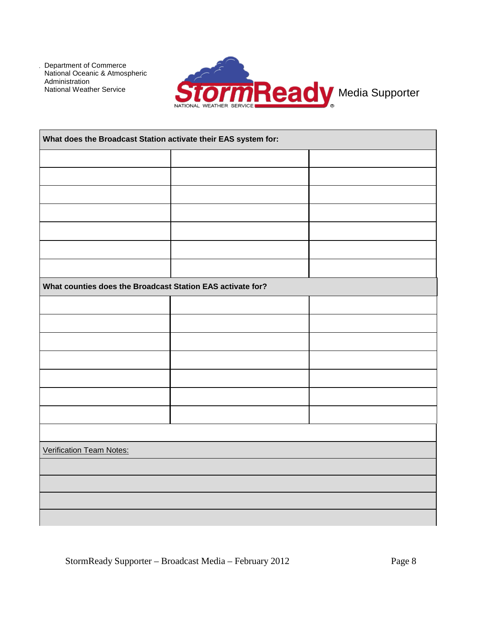

| What does the Broadcast Station activate their EAS system for: |  |  |  |  |
|----------------------------------------------------------------|--|--|--|--|
|                                                                |  |  |  |  |
|                                                                |  |  |  |  |
|                                                                |  |  |  |  |
|                                                                |  |  |  |  |
|                                                                |  |  |  |  |
|                                                                |  |  |  |  |
|                                                                |  |  |  |  |
| What counties does the Broadcast Station EAS activate for?     |  |  |  |  |
|                                                                |  |  |  |  |
|                                                                |  |  |  |  |
|                                                                |  |  |  |  |
|                                                                |  |  |  |  |
|                                                                |  |  |  |  |
|                                                                |  |  |  |  |
|                                                                |  |  |  |  |
|                                                                |  |  |  |  |
| <b>Verification Team Notes:</b>                                |  |  |  |  |
|                                                                |  |  |  |  |
|                                                                |  |  |  |  |
|                                                                |  |  |  |  |
|                                                                |  |  |  |  |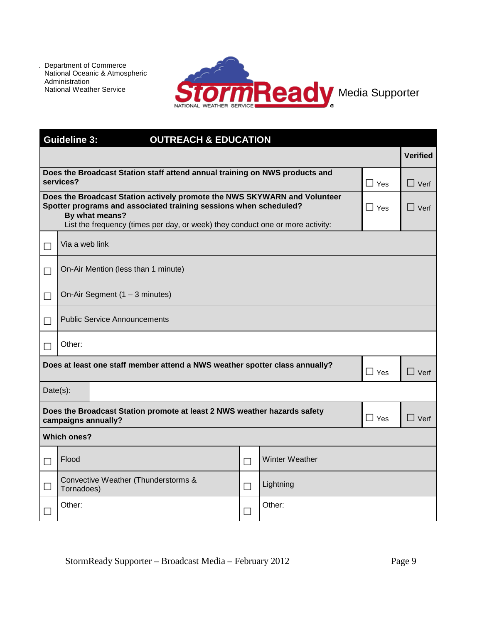

|                     | <b>Guideline 3:</b><br><b>OUTREACH &amp; EDUCATION</b>                                                                                                                                                                                             |              |        |                       |            |                 |
|---------------------|----------------------------------------------------------------------------------------------------------------------------------------------------------------------------------------------------------------------------------------------------|--------------|--------|-----------------------|------------|-----------------|
|                     |                                                                                                                                                                                                                                                    |              |        |                       |            | <b>Verified</b> |
|                     | Does the Broadcast Station staff attend annual training on NWS products and<br>services?                                                                                                                                                           |              |        |                       | $\Box$ Yes | $\Box$ Verf     |
|                     | Does the Broadcast Station actively promote the NWS SKYWARN and Volunteer<br>Spotter programs and associated training sessions when scheduled?<br>By what means?<br>List the frequency (times per day, or week) they conduct one or more activity: |              |        |                       | $\Box$ Yes | $\square$ Verf  |
| Via a web link<br>П |                                                                                                                                                                                                                                                    |              |        |                       |            |                 |
| $\Box$              | On-Air Mention (less than 1 minute)                                                                                                                                                                                                                |              |        |                       |            |                 |
| $\Box$              | On-Air Segment (1 - 3 minutes)                                                                                                                                                                                                                     |              |        |                       |            |                 |
| $\Box$              | <b>Public Service Announcements</b>                                                                                                                                                                                                                |              |        |                       |            |                 |
|                     | Other:                                                                                                                                                                                                                                             |              |        |                       |            |                 |
|                     | Does at least one staff member attend a NWS weather spotter class annually?                                                                                                                                                                        |              |        |                       | $\Box$ Yes | $\Box$ Verf     |
| $Date(s)$ :         |                                                                                                                                                                                                                                                    |              |        |                       |            |                 |
|                     | Does the Broadcast Station promote at least 2 NWS weather hazards safety<br>campaigns annually?                                                                                                                                                    |              |        |                       | $\Box$ Yes | $\Box$ Verf     |
|                     | <b>Which ones?</b>                                                                                                                                                                                                                                 |              |        |                       |            |                 |
| $\Box$              | Flood                                                                                                                                                                                                                                              | $\Box$       |        | <b>Winter Weather</b> |            |                 |
| $\Box$              | Convective Weather (Thunderstorms &<br>Tornadoes)                                                                                                                                                                                                  | $\mathsf{L}$ |        | Lightning             |            |                 |
| $\Box$              | Other:                                                                                                                                                                                                                                             |              | $\Box$ | Other:                |            |                 |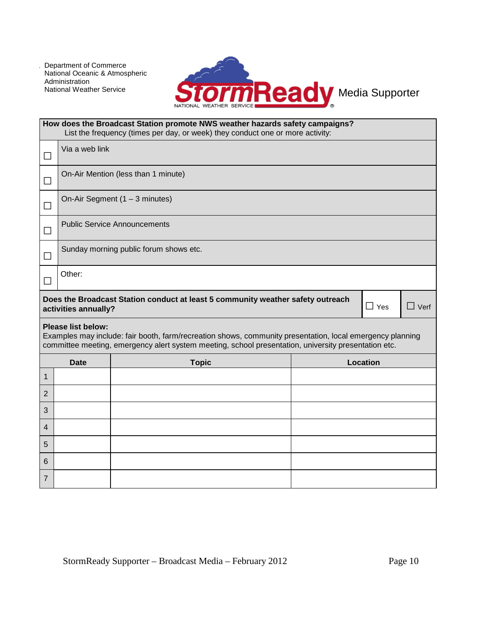7



|                | How does the Broadcast Station promote NWS weather hazards safety campaigns?<br>List the frequency (times per day, or week) they conduct one or more activity: |                                                                                                                                                                                                                   |  |            |             |  |
|----------------|----------------------------------------------------------------------------------------------------------------------------------------------------------------|-------------------------------------------------------------------------------------------------------------------------------------------------------------------------------------------------------------------|--|------------|-------------|--|
| $\Box$         | Via a web link                                                                                                                                                 |                                                                                                                                                                                                                   |  |            |             |  |
| $\Box$         | On-Air Mention (less than 1 minute)                                                                                                                            |                                                                                                                                                                                                                   |  |            |             |  |
| □              | On-Air Segment (1 - 3 minutes)                                                                                                                                 |                                                                                                                                                                                                                   |  |            |             |  |
| $\Box$         |                                                                                                                                                                | <b>Public Service Announcements</b>                                                                                                                                                                               |  |            |             |  |
| $\Box$         | Sunday morning public forum shows etc.                                                                                                                         |                                                                                                                                                                                                                   |  |            |             |  |
| $\Box$         | Other:                                                                                                                                                         |                                                                                                                                                                                                                   |  |            |             |  |
|                | activities annually?                                                                                                                                           | Does the Broadcast Station conduct at least 5 community weather safety outreach                                                                                                                                   |  | $\Box$ Yes | $\Box$ Verf |  |
|                | <b>Please list below:</b>                                                                                                                                      | Examples may include: fair booth, farm/recreation shows, community presentation, local emergency planning<br>committee meeting, emergency alert system meeting, school presentation, university presentation etc. |  |            |             |  |
|                | <b>Date</b>                                                                                                                                                    | <b>Topic</b>                                                                                                                                                                                                      |  | Location   |             |  |
| 1              |                                                                                                                                                                |                                                                                                                                                                                                                   |  |            |             |  |
| $\overline{2}$ |                                                                                                                                                                |                                                                                                                                                                                                                   |  |            |             |  |
| 3              |                                                                                                                                                                |                                                                                                                                                                                                                   |  |            |             |  |
| 4              |                                                                                                                                                                |                                                                                                                                                                                                                   |  |            |             |  |
| 5              |                                                                                                                                                                |                                                                                                                                                                                                                   |  |            |             |  |
|                |                                                                                                                                                                |                                                                                                                                                                                                                   |  |            |             |  |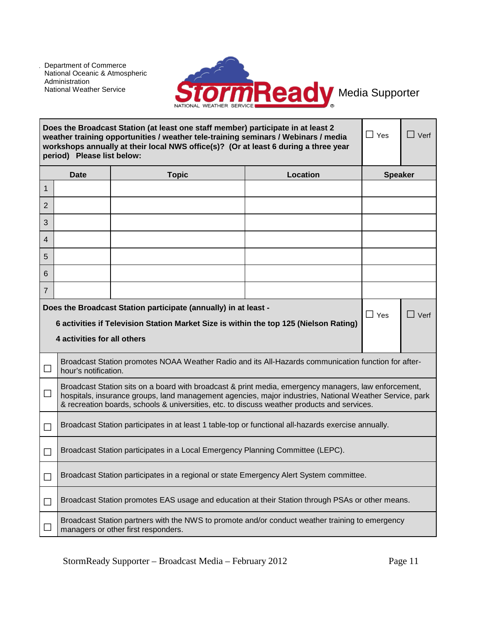

|                | period) Please list below:                                                                                                                                                                                           | Does the Broadcast Station (at least one staff member) participate in at least 2<br>weather training opportunities / weather tele-training seminars / Webinars / media<br>workshops annually at their local NWS office(s)? (Or at least 6 during a three year                                                  | $\Box$ Yes      | $\Box$ Verf    |  |  |
|----------------|----------------------------------------------------------------------------------------------------------------------------------------------------------------------------------------------------------------------|----------------------------------------------------------------------------------------------------------------------------------------------------------------------------------------------------------------------------------------------------------------------------------------------------------------|-----------------|----------------|--|--|
|                | <b>Date</b>                                                                                                                                                                                                          | <b>Topic</b>                                                                                                                                                                                                                                                                                                   | <b>Location</b> | <b>Speaker</b> |  |  |
| $\overline{1}$ |                                                                                                                                                                                                                      |                                                                                                                                                                                                                                                                                                                |                 |                |  |  |
| 2              |                                                                                                                                                                                                                      |                                                                                                                                                                                                                                                                                                                |                 |                |  |  |
| 3              |                                                                                                                                                                                                                      |                                                                                                                                                                                                                                                                                                                |                 |                |  |  |
| 4              |                                                                                                                                                                                                                      |                                                                                                                                                                                                                                                                                                                |                 |                |  |  |
| 5              |                                                                                                                                                                                                                      |                                                                                                                                                                                                                                                                                                                |                 |                |  |  |
| 6              |                                                                                                                                                                                                                      |                                                                                                                                                                                                                                                                                                                |                 |                |  |  |
| $\overline{7}$ |                                                                                                                                                                                                                      |                                                                                                                                                                                                                                                                                                                |                 |                |  |  |
|                | Does the Broadcast Station participate (annually) in at least -<br>$\Box$ Yes<br>$\Box$ Verf<br>6 activities if Television Station Market Size is within the top 125 (Nielson Rating)<br>4 activities for all others |                                                                                                                                                                                                                                                                                                                |                 |                |  |  |
|                | hour's notification.                                                                                                                                                                                                 | Broadcast Station promotes NOAA Weather Radio and its All-Hazards communication function for after-                                                                                                                                                                                                            |                 |                |  |  |
| $\Box$         |                                                                                                                                                                                                                      | Broadcast Station sits on a board with broadcast & print media, emergency managers, law enforcement,<br>hospitals, insurance groups, land management agencies, major industries, National Weather Service, park<br>& recreation boards, schools & universities, etc. to discuss weather products and services. |                 |                |  |  |
|                |                                                                                                                                                                                                                      | Broadcast Station participates in at least 1 table-top or functional all-hazards exercise annually.                                                                                                                                                                                                            |                 |                |  |  |
|                |                                                                                                                                                                                                                      | Broadcast Station participates in a Local Emergency Planning Committee (LEPC).                                                                                                                                                                                                                                 |                 |                |  |  |
|                |                                                                                                                                                                                                                      | Broadcast Station participates in a regional or state Emergency Alert System committee.                                                                                                                                                                                                                        |                 |                |  |  |
|                |                                                                                                                                                                                                                      | Broadcast Station promotes EAS usage and education at their Station through PSAs or other means.                                                                                                                                                                                                               |                 |                |  |  |
|                |                                                                                                                                                                                                                      | Broadcast Station partners with the NWS to promote and/or conduct weather training to emergency<br>managers or other first responders.                                                                                                                                                                         |                 |                |  |  |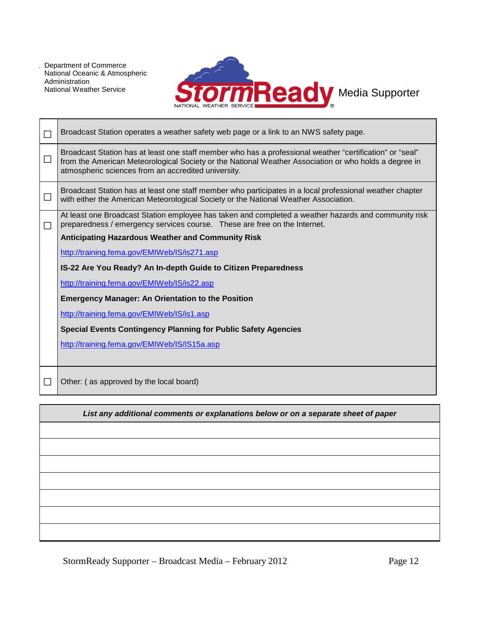

|        | Broadcast Station operates a weather safety web page or a link to an NWS safety page.                                                                                                                                                                                    |  |  |
|--------|--------------------------------------------------------------------------------------------------------------------------------------------------------------------------------------------------------------------------------------------------------------------------|--|--|
| $\Box$ | Broadcast Station has at least one staff member who has a professional weather "certification" or "seal"<br>from the American Meteorological Society or the National Weather Association or who holds a degree in<br>atmospheric sciences from an accredited university. |  |  |
| ப      | Broadcast Station has at least one staff member who participates in a local professional weather chapter<br>with either the American Meteorological Society or the National Weather Association.                                                                         |  |  |
| П      | At least one Broadcast Station employee has taken and completed a weather hazards and community risk<br>preparedness / emergency services course. These are free on the Internet.<br><b>Anticipating Hazardous Weather and Community Risk</b>                            |  |  |
|        |                                                                                                                                                                                                                                                                          |  |  |
|        | http://training.fema.gov/EMIWeb/IS/is271.asp                                                                                                                                                                                                                             |  |  |
|        | IS-22 Are You Ready? An In-depth Guide to Citizen Preparedness                                                                                                                                                                                                           |  |  |
|        | http://training.fema.gov/EMIWeb/IS/is22.asp                                                                                                                                                                                                                              |  |  |
|        | <b>Emergency Manager: An Orientation to the Position</b>                                                                                                                                                                                                                 |  |  |
|        | http://training.fema.gov/EMIWeb/IS/is1.asp                                                                                                                                                                                                                               |  |  |
|        | <b>Special Events Contingency Planning for Public Safety Agencies</b>                                                                                                                                                                                                    |  |  |
|        | http://training.fema.gov/EMIWeb/IS/IS15a.asp                                                                                                                                                                                                                             |  |  |
|        |                                                                                                                                                                                                                                                                          |  |  |
|        | Other: (as approved by the local board)                                                                                                                                                                                                                                  |  |  |

*List any additional comments or explanations below or on a separate sheet of paper*